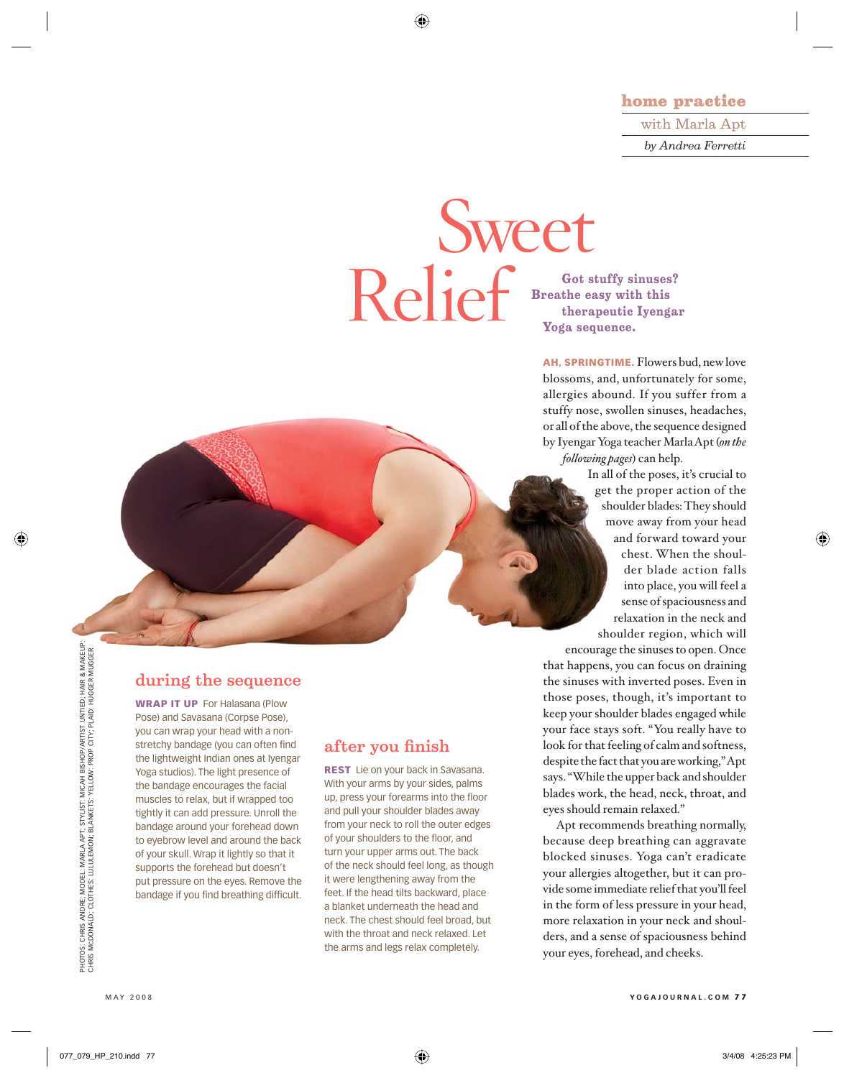⊕

#### home practice

with Marla Apt *by Andrea Ferretti*

# Sweet Relief Speake easy with this therapeutic Iyengar<br>Voga sequence.

**Breathe easy with this therapeutic Iyengar Yoga sequence.**

AH, SPRINGTIME. Flowers bud, new love blossoms, and, unfortunately for some, allergies abound. If you suffer from a stuffy nose, swollen sinuses, headaches, or all of the above, the sequence designed by Iyengar Yoga teacher Marla Apt (*on the following pages*) can help.

> In all of the poses, it's crucial to get the proper action of the shoulder blades: They should move away from your head and forward toward your chest. When the shoulder blade action falls into place, you will feel a sense of spaciousness and relaxation in the neck and shoulder region, which will

⊕

encourage the sinuses to open. Once that happens, you can focus on draining the sinuses with inverted poses. Even in those poses, though, it's important to keep your shoulder blades engaged while your face stays soft. "You really have to look for that feeling of calm and softness, despite the fact that you are working," Apt says. "While the upper back and shoulder blades work, the head, neck, throat, and eyes should remain relaxed."

Apt recommends breathing normally, because deep breathing can aggravate blocked sinuses. Yoga can't eradicate your allergies altogether, but it can provide some immediate relief that you'll feel in the form of less pressure in your head, more relaxation in your neck and shoulders, and a sense of spaciousness behind your eyes, forehead, and cheeks.

/ARTIST UNTIED; HAIR & MAKEUP:<br>CITY; PLAID: HUGGER MUGGER PHOTOS: CHRIS ANDRE; MODEL: MARLA APT; STYLIST: MICAH BISHOP/ARTIST UNTIED; HAIR & MAKEUP: CHRIS MCDONALD; CLOTHES: LULULEMON; BLANKETS: YELLOW: PROP CITY; PLAID: HUGGER MUGGER MICAH BISHOP/<br>YELLOW: PROP PHOTOS: CHRIS ANDRE; MODEL: MARLA APT; STYLIST: N<br>CHRIS MCDONALD; CLOTHES: LULULEMON; BLANKETS:

⊕

# during the sequence

WRAP IT UP For Halasana (Plow Pose) and Savasana (Corpse Pose), you can wrap your head with a nonstretchy bandage (you can often find the lightweight Indian ones at Iyengar Yoga studios). The light presence of the bandage encourages the facial muscles to relax, but if wrapped too tightly it can add pressure. Unroll the bandage around your forehead down to eyebrow level and around the back of your skull. Wrap it lightly so that it supports the forehead but doesn't put pressure on the eyes. Remove the bandage if you find breathing difficult.

# after you finish

REST Lie on your back in Savasana. With your arms by your sides, palms up, press your forearms into the floor and pull your shoulder blades away from your neck to roll the outer edges of your shoulders to the floor, and turn your upper arms out. The back of the neck should feel long, as though it were lengthening away from the feet. If the head tilts backward, place a blanket underneath the head and neck. The chest should feel broad, but with the throat and neck relaxed. Let the arms and legs relax completely.

MAY 2008 **YOGAJOURNAL.COM** 7 7

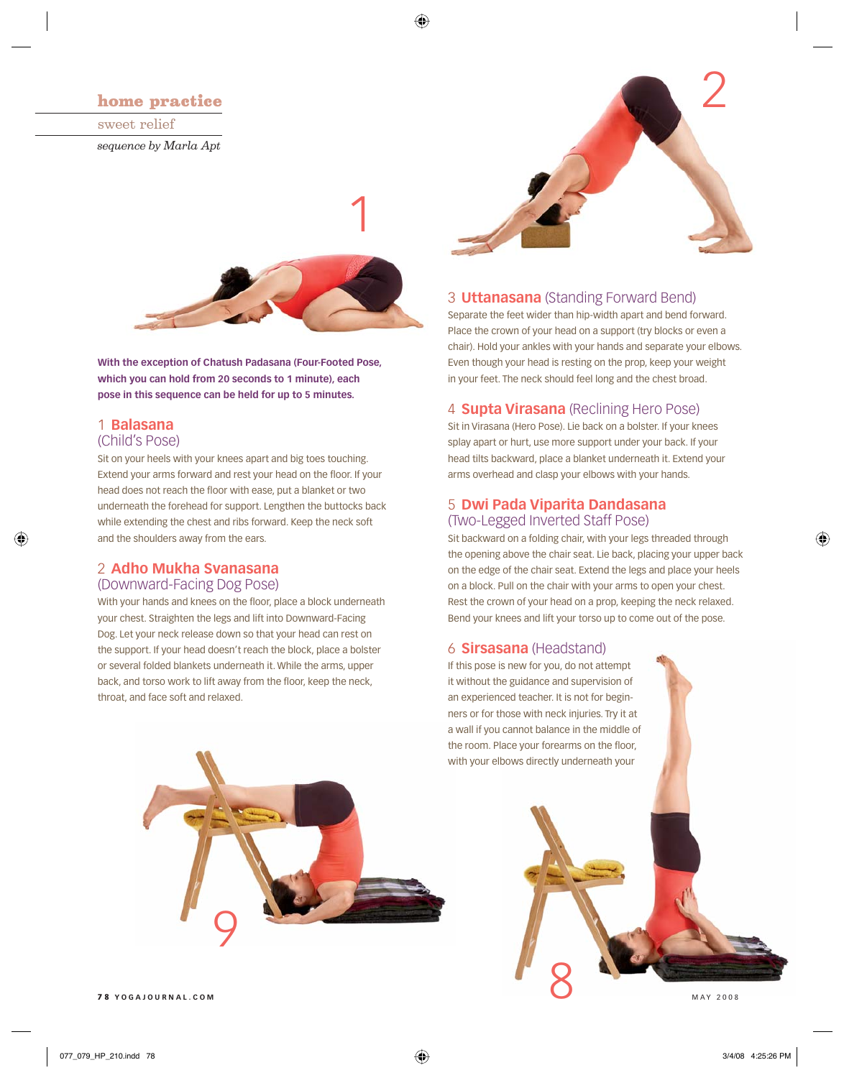# home practice

sweet relief *sequence by Marla Apt*



◈

**With the exception of Chatush Padasana (Four-Footed Pose, which you can hold from 20 seconds to 1 minute), each pose in this sequence can be held for up to 5 minutes.** 

#### 1 **Balasana**

#### (Child's Pose)

⊕

Sit on your heels with your knees apart and big toes touching. Extend your arms forward and rest your head on the floor. If your head does not reach the floor with ease, put a blanket or two underneath the forehead for support. Lengthen the buttocks back while extending the chest and ribs forward. Keep the neck soft and the shoulders away from the ears.

#### 2 **Adho Mukha Svanasana**

#### (Downward-Facing Dog Pose)

With your hands and knees on the floor, place a block underneath your chest. Straighten the legs and lift into Downward-Facing Dog. Let your neck release down so that your head can rest on the support. If your head doesn't reach the block, place a bolster or several folded blankets underneath it. While the arms, upper back, and torso work to lift away from the floor, keep the neck, throat, and face soft and relaxed.



#### 3 **Uttanasana** (Standing Forward Bend)

Separate the feet wider than hip-width apart and bend forward. Place the crown of your head on a support (try blocks or even a chair). Hold your ankles with your hands and separate your elbows. Even though your head is resting on the prop, keep your weight in your feet. The neck should feel long and the chest broad.

#### 4 **Supta Virasana** (Reclining Hero Pose)

Sit in Virasana (Hero Pose). Lie back on a bolster. If your knees splay apart or hurt, use more support under your back. If your head tilts backward, place a blanket underneath it. Extend your arms overhead and clasp your elbows with your hands.

# 5 **Dwi Pada Viparita Dandasana** (Two-Legged Inverted Staff Pose)

Sit backward on a folding chair, with your legs threaded through the opening above the chair seat. Lie back, placing your upper back on the edge of the chair seat. Extend the legs and place your heels on a block. Pull on the chair with your arms to open your chest. Rest the crown of your head on a prop, keeping the neck relaxed. Bend your knees and lift your torso up to come out of the pose.

#### 6 **Sirsasana** (Headstand)

If this pose is new for you, do not attempt it without the guidance and supervision of an experienced teacher. It is not for beginners or for those with neck injuries. Try it at a wall if you cannot balance in the middle of the room. Place your forearms on the floor, with your elbows directly underneath your



⊕